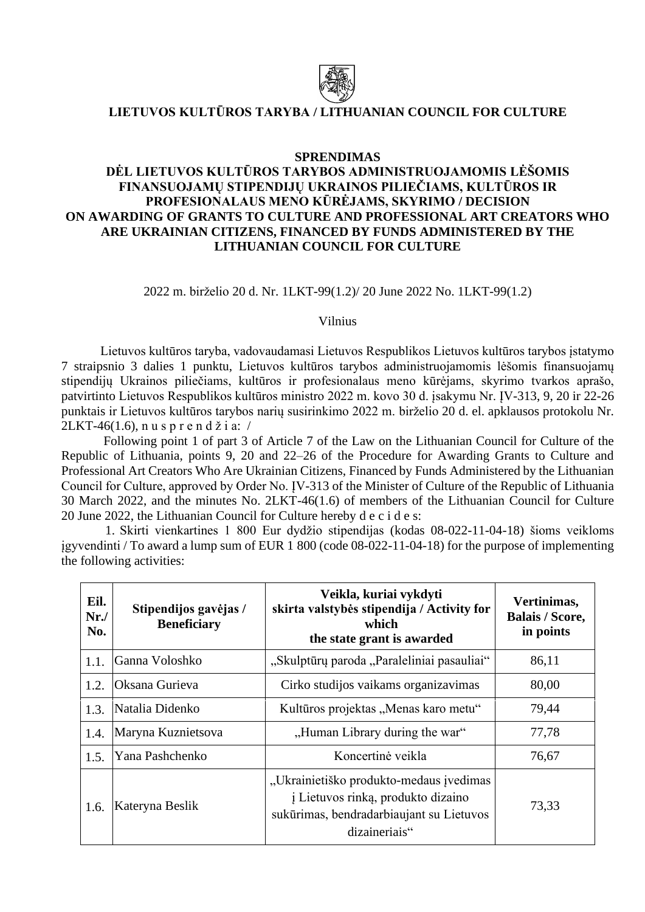

## **LIETUVOS KULTŪROS TARYBA / LITHUANIAN COUNCIL FOR CULTURE**

## **SPRENDIMAS**

## **DĖL LIETUVOS KULTŪROS TARYBOS ADMINISTRUOJAMOMIS LĖŠOMIS FINANSUOJAMŲ STIPENDIJŲ UKRAINOS PILIEČIAMS, KULTŪROS IR PROFESIONALAUS MENO KŪRĖJAMS, SKYRIMO / DECISION ON AWARDING OF GRANTS TO CULTURE AND PROFESSIONAL ART CREATORS WHO ARE UKRAINIAN CITIZENS, FINANCED BY FUNDS ADMINISTERED BY THE LITHUANIAN COUNCIL FOR CULTURE**

2022 m. birželio 20 d. Nr. 1LKT-99(1.2)/ 20 June 2022 No. 1LKT-99(1.2)

Vilnius

Lietuvos kultūros taryba, vadovaudamasi Lietuvos Respublikos Lietuvos kultūros tarybos įstatymo 7 straipsnio 3 dalies 1 punktu, Lietuvos kultūros tarybos administruojamomis lėšomis finansuojamų stipendijų Ukrainos piliečiams, kultūros ir profesionalaus meno kūrėjams, skyrimo tvarkos aprašo, patvirtinto Lietuvos Respublikos kultūros ministro 2022 m. kovo 30 d. įsakymu Nr. ĮV-313, 9, 20 ir 22-26 punktais ir Lietuvos kultūros tarybos narių susirinkimo 2022 m. birželio 20 d. el. apklausos protokolu Nr.  $2LKT-46(1.6)$ , nus p r e n d ž i a: /

Following point 1 of part 3 of Article 7 of the Law on the Lithuanian Council for Culture of the Republic of Lithuania, points 9, 20 and 22–26 of the Procedure for Awarding Grants to Culture and Professional Art Creators Who Are Ukrainian Citizens, Financed by Funds Administered by the Lithuanian Council for Culture, approved by Order No. ĮV-313 of the Minister of Culture of the Republic of Lithuania 30 March 2022, and the minutes No. 2LKT-46(1.6) of members of the Lithuanian Council for Culture 20 June 2022, the Lithuanian Council for Culture hereby d e c i d e s:

1. Skirti vienkartines 1 800 Eur dydžio stipendijas (kodas 08-022-11-04-18) šioms veikloms įgyvendinti / To award a lump sum of EUR 1 800 (code 08-022-11-04-18) for the purpose of implementing the following activities:

| Eil.<br>Nr.<br>No. | Stipendijos gavėjas /<br><b>Beneficiary</b> | Veikla, kuriai vykdyti<br>skirta valstybės stipendija / Activity for<br>which<br>the state grant is awarded                                | Vertinimas,<br><b>Balais / Score,</b><br>in points |
|--------------------|---------------------------------------------|--------------------------------------------------------------------------------------------------------------------------------------------|----------------------------------------------------|
| 1.1.               | Ganna Voloshko                              | "Skulptūrų paroda "Paraleliniai pasauliai"                                                                                                 | 86,11                                              |
| 1.2.               | Oksana Gurieva                              | Cirko studijos vaikams organizavimas                                                                                                       | 80,00                                              |
| 1.3.               | Natalia Didenko                             | Kultūros projektas "Menas karo metu"                                                                                                       | 79,44                                              |
| 1.4.               | Maryna Kuznietsova                          | "Human Library during the war"                                                                                                             | 77,78                                              |
| 1.5.               | Yana Pashchenko                             | Koncertinė veikla                                                                                                                          | 76,67                                              |
| 1.6.               | Kateryna Beslik                             | "Ukrainietiško produkto-medaus įvedimas<br>į Lietuvos rinką, produkto dizaino<br>sukūrimas, bendradarbiaujant su Lietuvos<br>dizaineriais" | 73,33                                              |